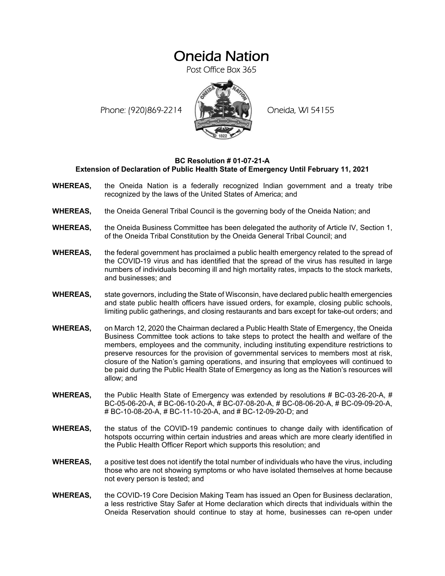# Oneida Nation

Post Office Box 365

Phone: (920)869-2214 (XXXXXXX) Oneida, WI 54155



### **BC Resolution # 01-07-21-A Extension of Declaration of Public Health State of Emergency Until February 11, 2021**

- **WHEREAS,** the Oneida Nation is a federally recognized Indian government and a treaty tribe recognized by the laws of the United States of America; and
- **WHEREAS,** the Oneida General Tribal Council is the governing body of the Oneida Nation; and
- **WHEREAS,** the Oneida Business Committee has been delegated the authority of Article IV, Section 1, of the Oneida Tribal Constitution by the Oneida General Tribal Council; and
- **WHEREAS,** the federal government has proclaimed a public health emergency related to the spread of the COVID-19 virus and has identified that the spread of the virus has resulted in large numbers of individuals becoming ill and high mortality rates, impacts to the stock markets, and businesses; and
- **WHEREAS,** state governors, including the State of Wisconsin, have declared public health emergencies and state public health officers have issued orders, for example, closing public schools, limiting public gatherings, and closing restaurants and bars except for take-out orders; and
- **WHEREAS,** on March 12, 2020 the Chairman declared a Public Health State of Emergency, the Oneida Business Committee took actions to take steps to protect the health and welfare of the members, employees and the community, including instituting expenditure restrictions to preserve resources for the provision of governmental services to members most at risk, closure of the Nation's gaming operations, and insuring that employees will continued to be paid during the Public Health State of Emergency as long as the Nation's resources will allow; and
- **WHEREAS,** the Public Health State of Emergency was extended by resolutions # BC-03-26-20-A, # BC-05-06-20-A, # BC-06-10-20-A, # BC-07-08-20-A, # BC-08-06-20-A, # BC-09-09-20-A, # BC-10-08-20-A, # BC-11-10-20-A, and # BC-12-09-20-D; and
- **WHEREAS,** the status of the COVID-19 pandemic continues to change daily with identification of hotspots occurring within certain industries and areas which are more clearly identified in the Public Health Officer Report which supports this resolution; and
- **WHEREAS,** a positive test does not identify the total number of individuals who have the virus, including those who are not showing symptoms or who have isolated themselves at home because not every person is tested; and
- **WHEREAS,** the COVID-19 Core Decision Making Team has issued an Open for Business declaration, a less restrictive Stay Safer at Home declaration which directs that individuals within the Oneida Reservation should continue to stay at home, businesses can re-open under